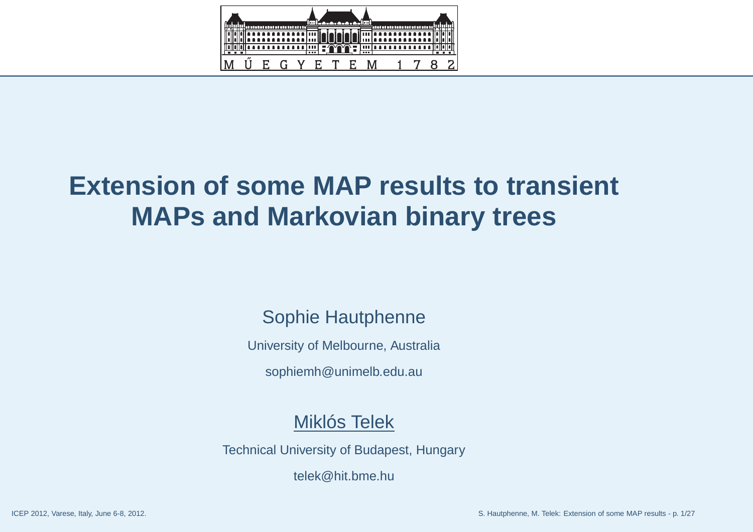

## **Extension of some MAP results to transientMAPs and Markovian binary trees**

### Sophie Hautphenne

University of Melbourne, Australia

sophiemh@unimelb.edu.au

#### Miklós Telek

Technical University of Budapest, Hungary

telek@hit.bme.hu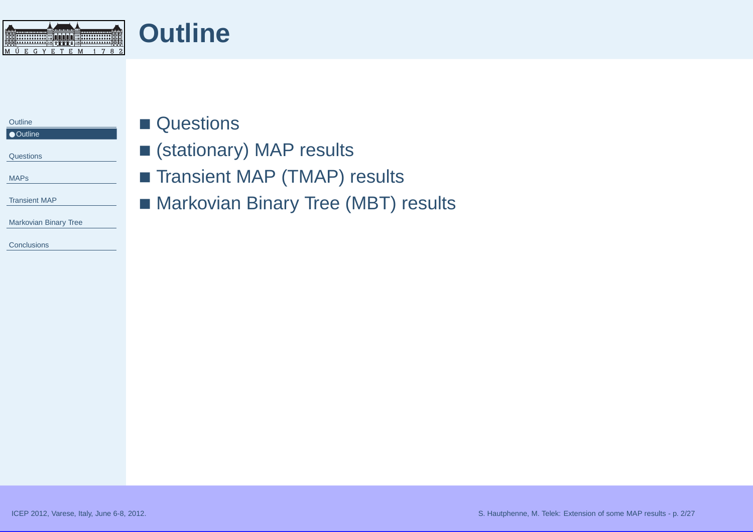<span id="page-1-0"></span>

#### **Outline** ● Outline

**[Questions](#page-2-0)** 

[MAPs](#page-3-0)

[Transient](#page-9-0) MAP

[Markovian](#page-17-0) Binary Tree

**[Conclusions](#page-26-0)** 

## ■ Questions

- (stationary) MAP results
- Transient MAP (TMAP) results
- Markovian Binary Tree (MBT) results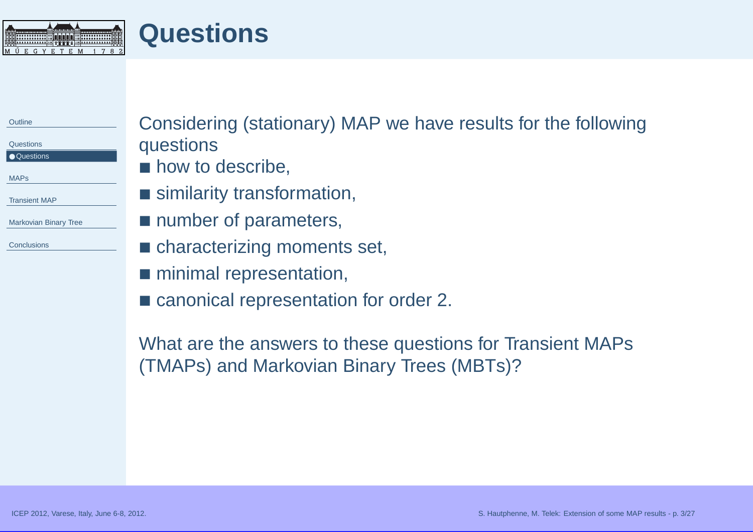<span id="page-2-0"></span>**Questions**MŰEGYETEM 1782

| Considering (stationary) MAP we have results for the following |
|----------------------------------------------------------------|
| questions<br>lacktriangleright how to describe,                |
| ■ similarity transformation,                                   |
| ■ number of parameters,                                        |
| • characterizing moments set,                                  |
| minimal representation,                                        |
|                                                                |

■ canonical representation for order 2.

What are the answers to these questions for Transient MAPs(TMAPs) and Markovian Binary Trees (MBTs)?

ICEP 2012, Varese, Italy, June 6-8, 2012. S. Hautphenne, M. Telek: Extension of some MAP results - p. 3/27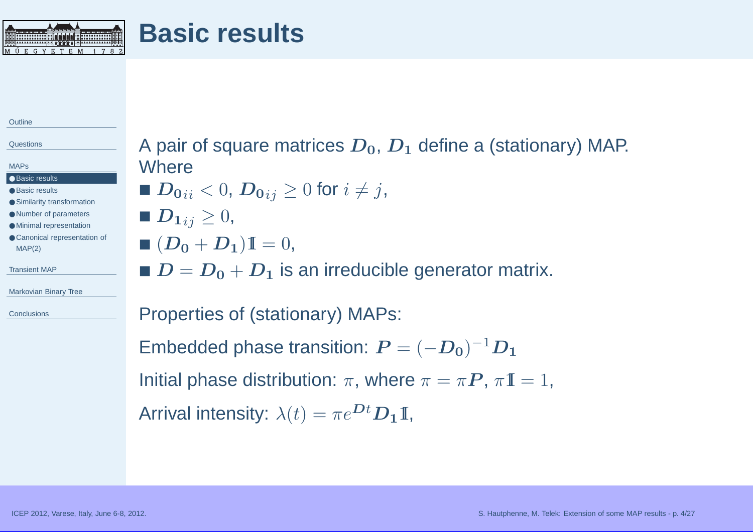<span id="page-3-0"></span>

**[Outline](#page-1-0)** 

**[Questions](#page-2-0)** 

MAPs

- Basic results
- Basic [results](#page-4-0)
- Similarity [transformation](#page-5-0)
- Number of [parameters](#page-6-0)
- Minimal [representation](#page-7-0)
- Canonical [representation](#page-8-0) of MAP(2)

[Transient](#page-9-0) MAP

[Markovian](#page-17-0) Binary Tree

**[Conclusions](#page-26-0)** 

A pair of square matrices  $\boldsymbol{D_0}$ ,  $\boldsymbol{D_1}$  define a (stationary) MAP. **Where** ■  $\boldsymbol{D_0}_{ii} < 0,$   $\boldsymbol{D_0}_{ij} \geq 0$  for  $i \neq j,$ 

- $\blacksquare$   $\boldsymbol{D_1}_{ij} \geq 0,$
- $\blacksquare$   $(D_0 + D_1)\mathbb{I} = 0,$
- $\blacksquare$   $\boldsymbol{D} = \boldsymbol{D_0} + \boldsymbol{D_1}$  is an irreducible generator matrix.

Properties of (stationary) MAPs:

Embedded phase transition:  $\boldsymbol{P} = (-\boldsymbol{D_0})^{-1}\boldsymbol{D_1}$ 

Initial phase distribution:  $\pi,$  where  $\pi = \pi \boldsymbol{P}$ ,  $\pi \mathbb{I} = 1$ ,

Arrival intensity:  $\lambda(t) = \pi e^{\mathbf{D}t} \mathbf{D_1} \mathbf{I}$ ,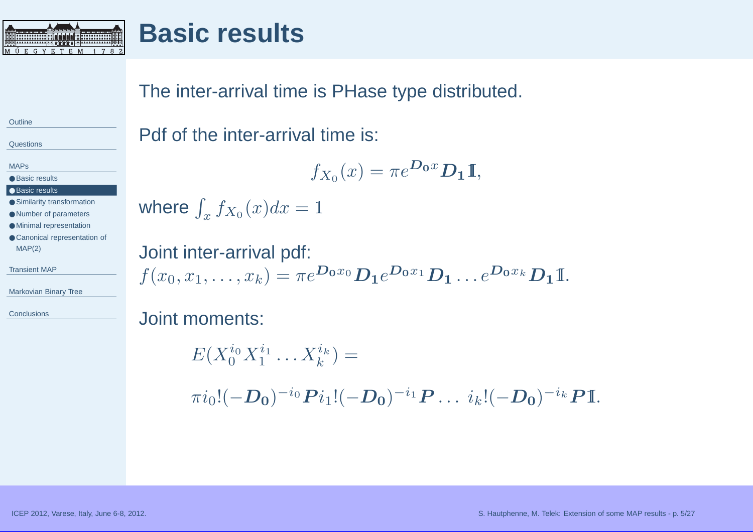<span id="page-4-0"></span>

## **Basic results**

The inter-arrival time is PHase type distributed.

Pdf of the inter-arrival time is:

$$
f_{X_0}(x) = \pi e^{\mathbf{D_0}x} \mathbf{D_1} \mathbf{I},
$$

where  $\int_x f_{X_0} (x) dx = 1$ 

Joint inter-arrival pdf:  $f(x_0, x_1, \ldots, x_k) = \pi e^{\mathbf{D_0} x_0} \mathbf{D_1} e^{\mathbf{D_0} x_1} \mathbf{D_1} \ldots e^{\mathbf{D_0} x_k} \mathbf{D_1} \mathbb{I}.$ 

Joint moments:

 $E(X_0^{i_0}X_1^{i_1}\ldots X_k^{i_k}) =$  $\pi i_0!(-D_0)^{-i_0}\bm P i_1!(-D_0)^{-i_1}\bm P\ldots\ i_k!(-D_0)^{-i_k}\bm P \mathbb{I}.$ 

**[Outline](#page-1-0)** 

**[Questions](#page-2-0)** 

[MAPs](#page-3-0)

#### ● Basic [results](#page-3-0)

#### ● Basic results

● Similarity [transformation](#page-5-0)

- Number of [parameters](#page-6-0)
- Minimal [representation](#page-7-0)
- Canonical [representation](#page-8-0) of MAP(2)

[Transient](#page-9-0) MAP

[Markovian](#page-17-0) Binary Tree

**[Conclusions](#page-26-0)**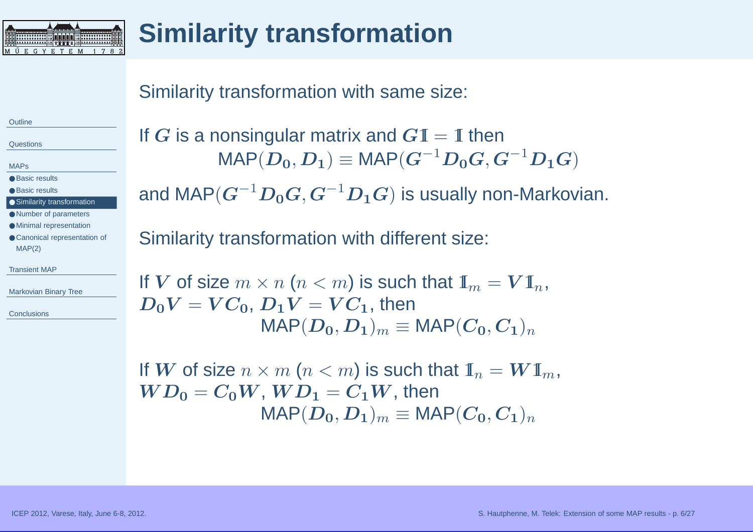<span id="page-5-0"></span>

# **Similarity transformation**

#### Similarity transformation with same size:

**[Outline](#page-1-0)** 

**[Questions](#page-2-0)** 

[MAPs](#page-3-0)

● Basic [results](#page-3-0)

● Basic [results](#page-4-0)

● Similarity transformation

● Number of [parameters](#page-6-0)

● Minimal [representation](#page-7-0)

● Canonical [representation](#page-8-0) of MAP(2)

[Transient](#page-9-0) MAP

[Markovian](#page-17-0) Binary Tree

**[Conclusions](#page-26-0)** 

If  $G$  is a nonsingular matrix and  $G\mathbb{I} = \mathbb{I}$  then  $\mathsf{MAP}(\bm{D_0},\bm{D_1}) \equiv$  $\equiv \mathsf{MAP}(\bm{G}^{-1}\bm{D_0}\bm{G}, \bm{G}^{-1}\bm{D_1}\bm{G})$ and MAP $(\bm{G}^{-1}\bm{D_0}\bm{G}, \bm{G}^{-1}\bm{D_1}\bm{G})$  is usually non-Markovian.

Similarity transformation with different size:

```
If \boldsymbol{V} of size m \times n (n < m) is such that \boldsymbol{\mathbb{I}}_m = \boldsymbol{V} \boldsymbol{\mathbb{I}}_n,D_0V = VC_0, D_1V = VC_1, then
                     \mathsf{MAP}(\boldsymbol{D_0},\boldsymbol{D_1})_m \equiv \mathsf{MAP}(\boldsymbol{C_0},\boldsymbol{C_1})_n
```
If  $\boldsymbol{W}$  of size  $n \times m$   $(n < m)$  is such that  $\mathbb{I}_n = \boldsymbol{W} 1_m, \ \boldsymbol{W} \boldsymbol{D}_0 = \boldsymbol{C}_0 \boldsymbol{W}$  ,  $\boldsymbol{W} \boldsymbol{D}_1 = \boldsymbol{C}_1 \boldsymbol{W}$  , then  $WD_0=C_0W,\, WD_1=C_1W,$  then  $\mathsf{MAP}(\boldsymbol{D_0},\boldsymbol{D_1})_m \equiv \mathsf{MAP}(\boldsymbol{C_0},\boldsymbol{C_1})_n$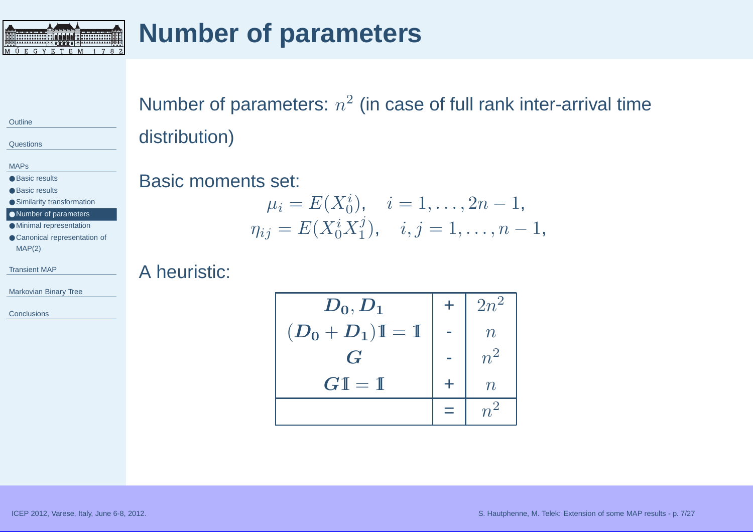<span id="page-6-0"></span>

# **Number of parameters**

**[Outline](#page-1-0)** 

**[Questions](#page-2-0)** 

[MAPs](#page-3-0)

● Basic [results](#page-3-0)

● Basic [results](#page-4-0)

● Similarity [transformation](#page-5-0)

● Number of parameters

- Minimal [representation](#page-7-0)
- Canonical [representation](#page-8-0) of MAP(2)

[Transient](#page-9-0) MAP

[Markovian](#page-17-0) Binary Tree

**[Conclusions](#page-26-0)** 

Number of parameters:  $n^2$  (in case of full rank inter-arrival time distribution)

#### Basic moments set:

$$
\mu_i = E(X_0^i), \quad i = 1, \dots, 2n - 1, \n\eta_{ij} = E(X_0^i X_1^j), \quad i, j = 1, \dots, n - 1,
$$

#### A heuristic:

| $\boldsymbol{D_0},\boldsymbol{D_1}$ | $+$ | $2n^2$      |
|-------------------------------------|-----|-------------|
| $(D_0+D_1)\mathbb{I}=\mathbb{I}$    |     | $n_{\cdot}$ |
| $\boldsymbol{G}$                    |     | $n^2$       |
| $GI = I$                            | ╋   |             |
|                                     |     |             |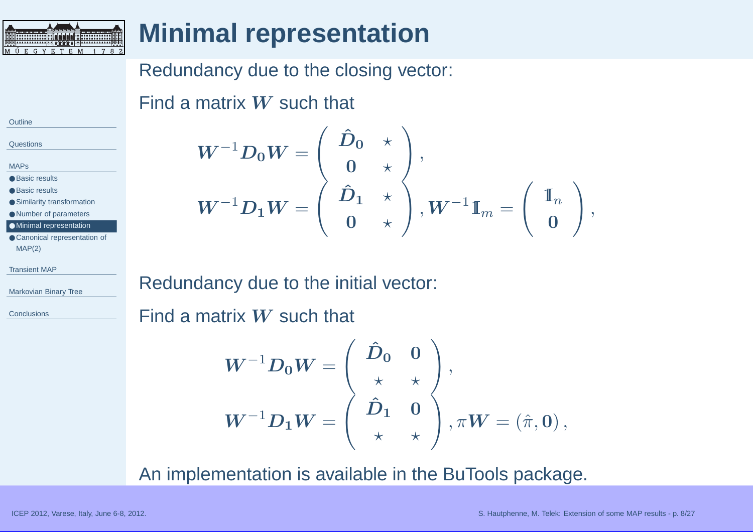<span id="page-7-0"></span>

# **Minimal representation**

## Redundancy due to the closing vector:

Find a matrix  $\boldsymbol{W}$  such that

| Outline |  |
|---------|--|
|         |  |
|         |  |

 $\sim$   $\sim$ 

**[Questions](#page-2-0)** 

[MAPs](#page-3-0)

● Basic [results](#page-3-0)

● Basic [results](#page-4-0)

● Similarity [transformation](#page-5-0)

● Number of [parameters](#page-6-0)

● Minimal representation

● Canonical [representation](#page-8-0) of MAP(2)

[Transient](#page-9-0) MAP

[Markovian](#page-17-0) Binary Tree

**[Conclusions](#page-26-0)** 

 $\boldsymbol{W}^{-1}\boldsymbol{D_0}\boldsymbol{W}$  $\boldsymbol{W} = \left( \begin{array}{cc} \boldsymbol{\hat{D}_{0}} & \star \ \boldsymbol{0} & \star \end{array} \right),$  $\boldsymbol{W}^{-1}\boldsymbol{D_1}\boldsymbol{W}$  $\boldsymbol{W} = \left( \begin{array}{cc} \boldsymbol{\hat{D}_1} & \star \ \boldsymbol{0} & \star \end{array} \right), \boldsymbol{W^{-1}} \boldsymbol{\mathbb{I}}_m = \left( \begin{array}{c} \mathbb{I}_n \ \boldsymbol{0} \end{array} \right),$ 

Redundancy due to the initial vector:

Find a matrix  $\boldsymbol{W}$  such that

$$
W^{-1}D_0W = \left(\begin{array}{cc} \hat{D}_0 & 0 \\ \star & \star \\ \hat{D}_1 & 0 \\ \star & \star \end{array}\right),
$$
  

$$
W^{-1}D_1W = \left(\begin{array}{cc} \hat{D}_0 & 0 \\ \star & \star \\ \star & \star \end{array}\right), \pi W = \left(\hat{\pi}, 0\right),
$$

An implementation is available in the BuTools package.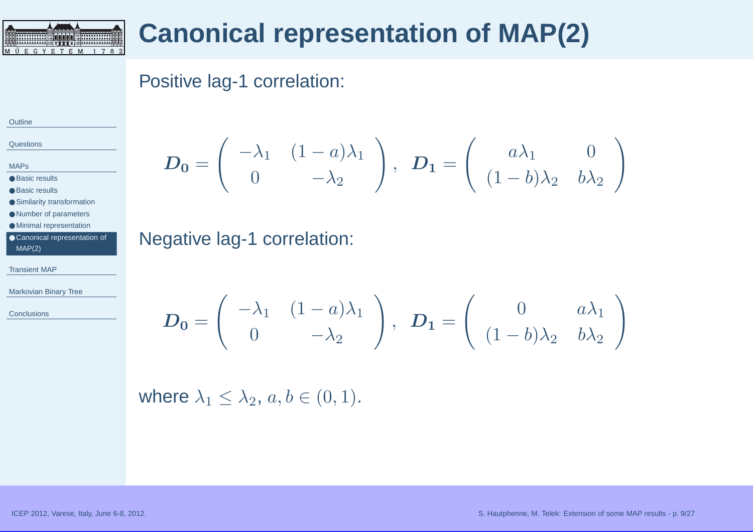## **Canonical representation of MAP(2)**

## Positive lag-1 correlation:

#### **[Outline](#page-1-0)**

**[Questions](#page-2-0)** 

[MAPs](#page-3-0)

● Basic [results](#page-3-0)

● Basic [results](#page-4-0)

● Similarity [transformation](#page-5-0)

● Number of [parameters](#page-6-0)

● Minimal [representation](#page-7-0)

|        | ● Canonical representation of |
|--------|-------------------------------|
| MAP(2) |                               |

**DOOOG HIMAAH INI** 

<span id="page-8-0"></span>M Ű E G Y E T E M 1 7 8 2

[Transient](#page-9-0) MAP

[Markovian](#page-17-0) Binary Tree

**[Conclusions](#page-26-0)** 

$$
\boldsymbol{D_0} = \begin{pmatrix} -\lambda_1 & (1-a)\lambda_1 \\ 0 & -\lambda_2 \end{pmatrix}, \ \boldsymbol{D_1} = \begin{pmatrix} a\lambda_1 & 0 \\ (1-b)\lambda_2 & b\lambda_2 \end{pmatrix}
$$

Negative lag-1 correlation:

$$
\boldsymbol{D_0} = \begin{pmatrix} -\lambda_1 & (1-a)\lambda_1 \\ 0 & -\lambda_2 \end{pmatrix}, \ \ \boldsymbol{D_1} = \begin{pmatrix} 0 & a\lambda_1 \\ (1-b)\lambda_2 & b\lambda_2 \end{pmatrix}
$$

where  $\lambda_1 \leq \lambda_2$ ,  $a, b \in (0, 1)$ .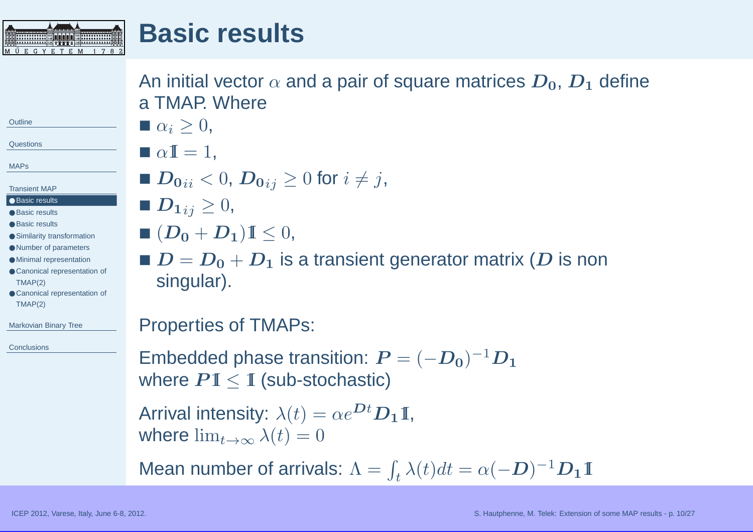<span id="page-9-0"></span>

An initial vector  $\alpha$  and a pair of square matrices  $\boldsymbol{D_0}$ ,  $\boldsymbol{D_1}$  define a TMAP Where

- $\blacksquare \; \alpha_i \geq 0,$
- 

[MAPs](#page-3-0)

**[Outline](#page-1-0)** 

**[Questions](#page-2-0)** 

- Transient MAP
- Basic results
- Basic [results](#page-10-0) ● Basic [results](#page-11-0)
- Similarity [transformation](#page-12-0)
- Number of [parameters](#page-13-0)
- Minimal [representation](#page-14-0)
- Canonical [representation](#page-15-0) of TMAP(2)
- Canonical [representation](#page-16-0) of TMAP(2)

[Markovian](#page-17-0) Binary Tree

**[Conclusions](#page-26-0)** 

# $\blacksquare \alpha \mathbb{I} = 1$ ,

- $\boldsymbol{D_0}_{ii} < 0,$   $\boldsymbol{D_0}_{ij} \geq 0$  for  $i \neq j$ ,
- $\blacksquare$   $\boldsymbol{D_1}_{ij} \geq 0,$
- $\blacksquare~(\boldsymbol{D_0} + \boldsymbol{D_1}) \mathbb{I} \leq 0,$
- $\blacksquare$   $D = D_0 + D_1$  is a transient generator matrix ( $D$  is non singular) singular).

## Properties of TMAPs:

Embedded phase transition:  $\boldsymbol{P} = (-\boldsymbol{D_0})^{-1}\boldsymbol{D_1}$ where  $P1 \leq \text{I}$  (sub-stochastic)

Arrival intensity:  $\lambda(t) = \alpha e^{\mathbf{D}t}\mathbf{D_1}\mathbf{I}$ , where  $\lim_{t\to\infty}\lambda(t)=0$ 

Mean number of arrivals:  $\Lambda = \int_t \lambda(t)dt = \alpha(-D)^{-1}D_1\mathbb{I}$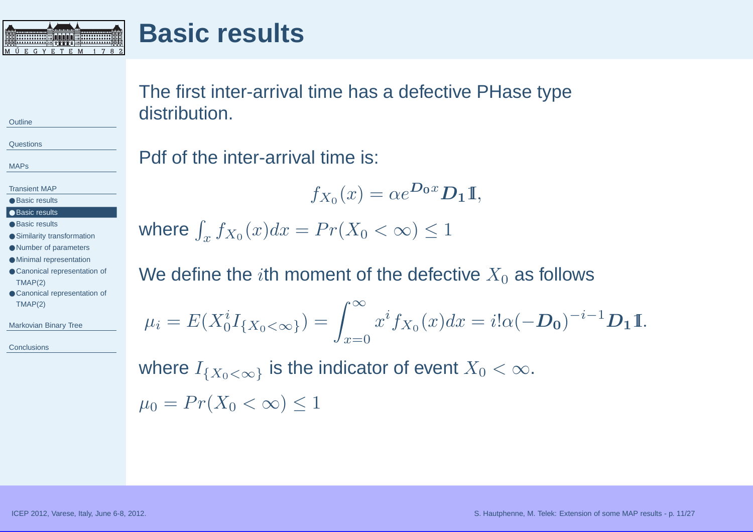<span id="page-10-0"></span>

## **Basic results**

The first inter-arrival time has <sup>a</sup> defective PHase typedistribution.

**[Questions](#page-2-0)** 

**[Outline](#page-1-0)** 

[MAPs](#page-3-0)

- [Transient](#page-9-0) MAP
- Basic [results](#page-9-0)
- Basic results
- Basic [results](#page-11-0)
- Similarity [transformation](#page-12-0)
- Number of [parameters](#page-13-0)
- Minimal [representation](#page-14-0)
- Canonical [representation](#page-15-0) of TMAP(2)
- Canonical [representation](#page-16-0) of TMAP(2)

[Markovian](#page-17-0) Binary Tree

**[Conclusions](#page-26-0)** 

#### Pdf of the inter-arrival time is:

$$
f_{X_0}(x) = \alpha e^{\mathbf{D_0}x} \mathbf{D_1} \mathbf{I},
$$

where  $\int_x f_{X_0}(x)dx = Pr(X_0 < \infty) \leq 1$ 

We define the  $i$ th moment of the defective  $X_{\mathrm{0}}$  as follows

$$
\mu_i = E(X_0^i I_{\{X_0 < \infty\}}) = \int_{x=0}^{\infty} x^i f_{X_0}(x) dx = i! \alpha (-D_0)^{-i-1} D_1 \mathbb{I}.
$$

where  $I_{\{X_0<\infty\}}$  is the indicator of event  $X_0<\infty.$  $\mu_0 = Pr(X_0 < \infty) \leq 1$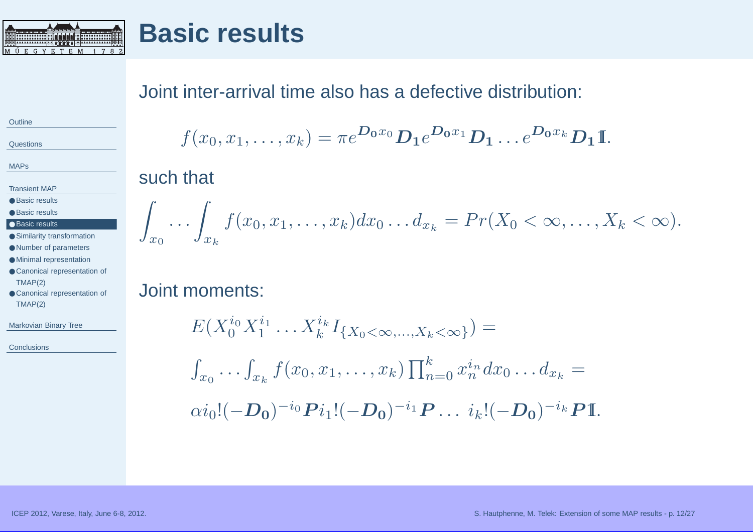<span id="page-11-0"></span>

#### Joint inter-arrival time also has <sup>a</sup> defective distribution:

**[Outline](#page-1-0)** 

**[Questions](#page-2-0)** 

[MAPs](#page-3-0)

[Transient](#page-9-0) MAP

● Basic [results](#page-9-0)

● Basic [results](#page-10-0)

#### ● Basic results

● Similarity [transformation](#page-12-0)

● Number of [parameters](#page-13-0)

● Minimal [representation](#page-14-0)

● Canonical [representation](#page-15-0) of TMAP(2)

● Canonical [representation](#page-16-0) of TMAP(2)

[Markovian](#page-17-0) Binary Tree

**[Conclusions](#page-26-0)** 

$$
f(x_0,x_1,\ldots,x_k)=\pi e^{\mathbf{D_0}x_0}\mathbf{D_1}e^{\mathbf{D_0}x_1}\mathbf{D_1}\ldots e^{\mathbf{D_0}x_k}\mathbf{D_1}\mathbb{I}.
$$

#### such that

$$
\int_{x_0} \ldots \int_{x_k} f(x_0, x_1, \ldots, x_k) dx_0 \ldots dx_k = Pr(X_0 < \infty, \ldots, X_k < \infty).
$$

## Joint moments:

$$
E(X_0^{i_0}X_1^{i_1}\dots X_k^{i_k}I_{\{X_0<\infty,\dots,X_k<\infty\}}) =
$$
  

$$
\int_{x_0}\dots\int_{x_k}f(x_0,x_1,\dots,x_k)\prod_{n=0}^k x_n^{i_n}dx_0\dots dx_k =
$$
  

$$
\alpha i_0!(-D_0)^{-i_0}Pi_1!(-D_0)^{-i_1}P\dots i_k!(-D_0)^{-i_k}PI.
$$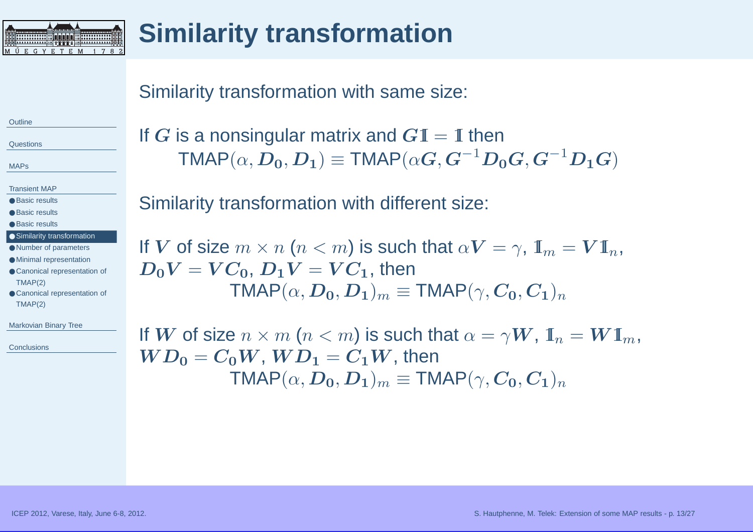<span id="page-12-0"></span>

# **Similarity transformation**

#### Similarity transformation with same size:

**[Outline](#page-1-0)** 

**[Questions](#page-2-0)** 

[MAPs](#page-3-0)

[Transient](#page-9-0) MAP

● Basic [results](#page-9-0)

● Basic [results](#page-10-0)

● Basic [results](#page-11-0)

● Similarity transformation

● Number of [parameters](#page-13-0)

● Minimal [representation](#page-14-0)

● Canonical [representation](#page-15-0) of TMAP(2)

● Canonical [representation](#page-16-0) of TMAP(2)

[Markovian](#page-17-0) Binary Tree

**[Conclusions](#page-26-0)** 

If  $G$  is a nonsingular matrix and  $G\mathbb{I} = \mathbb{I}$  then<br> $\Gamma^{MAP}(\mathcal{L} \cap \mathbf{D}) = \text{TMAP}(\mathcal{L} \cap \mathbf{C}^{-1} \mathbf{D})$  $\mathsf{TMAP}(\alpha,\boldsymbol{D_0},\boldsymbol{D_1}) \equiv$  $\equiv \textsf{TMAP}(\alpha \bm{G}, \bm{G}^{-1}\bm{D_0}\bm{G}, \bm{G}^{-1}\bm{D_1}\bm{G})$ 

Similarity transformation with different size:

If  $\boldsymbol{V}$  of size  $m \times n$   $(n < m)$  is such that  $\alpha \boldsymbol{V} = \gamma$ ,  $\boldsymbol{\mathbb{I}}_m = \boldsymbol{V} \boldsymbol{\mathbb{I}}_n$ ,  $\boldsymbol{D}_c \boldsymbol{V} = \boldsymbol{V} \boldsymbol{C}$  , then  $D_0V = VC_0,$   $D_1V = VC_1,$  then  $\mathsf{TMAP}(\alpha,\boldsymbol{D_0},\boldsymbol{D_1})_m \equiv \mathsf{TMAP}(\gamma,\boldsymbol{C_0},\boldsymbol{C_1})_n$ 

If  $\boldsymbol{W}$  of size  $n \times m$   $(n < m)$  is such that  $\alpha = \gamma \boldsymbol{W}$ ,  $\boldsymbol{\mathbb{I}}_n = \boldsymbol{W} \boldsymbol{\mathbb{I}}_m$ ,  $\boldsymbol{W}\boldsymbol{D}_0 = \boldsymbol{C}_0 \boldsymbol{W}$  ,  $\boldsymbol{W}\boldsymbol{D}_1 = \boldsymbol{C}_1 \boldsymbol{W}$  then  $WD_{0}=C_{0}W,\,WD_{1}=C_{1}W,$  then  $\mathsf{TMAP}(\alpha,\boldsymbol{D_0},\boldsymbol{D_1})_m \equiv \mathsf{TMAP}(\gamma,\boldsymbol{C_0},\boldsymbol{C_1})_n$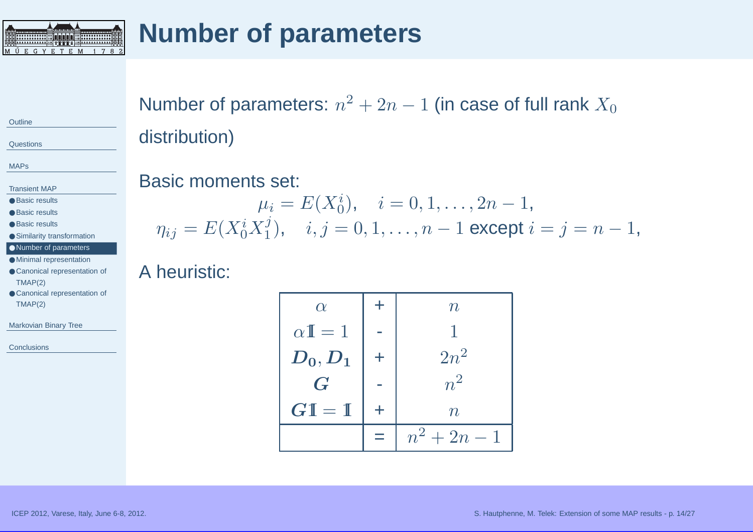<span id="page-13-0"></span>

# **Number of parameters**

**[Outline](#page-1-0)** 

**[Questions](#page-2-0)** 

[MAPs](#page-3-0)

[Transient](#page-9-0) MAP

● Basic [results](#page-9-0)

● Basic [results](#page-10-0)

● Basic [results](#page-11-0)

● Similarity [transformation](#page-12-0)

● Number of parameters ● Minimal [representation](#page-14-0)

● Canonical [representation](#page-15-0) of TMAP(2)

● Canonical [representation](#page-16-0) of TMAP(2)

[Markovian](#page-17-0) Binary Tree

**[Conclusions](#page-26-0)** 

Number of parameters:  $n^2 + 2n - 1$  (in case of full rank  $X_0$ distribution)

#### Basic moments set:

$$
\mu_i = E(X_0^i), \quad i = 0, 1, \dots, 2n - 1,
$$
  

$$
\eta_{ij} = E(X_0^i X_1^j), \quad i, j = 0, 1, \dots, n - 1 \text{ except } i = j = n - 1,
$$

#### A heuristic:

| $\alpha$                            |   | $\, n \,$        |
|-------------------------------------|---|------------------|
| $\alpha \mathbb{I} = 1$             |   |                  |
| $\boldsymbol{D_0},\boldsymbol{D_1}$ | ╈ | $2n^2$           |
| $\boldsymbol{G}$                    |   | $n^2$            |
| $G1 = 1$                            | ╄ | $\boldsymbol{n}$ |
|                                     |   | $n^2 + 2n - 1$   |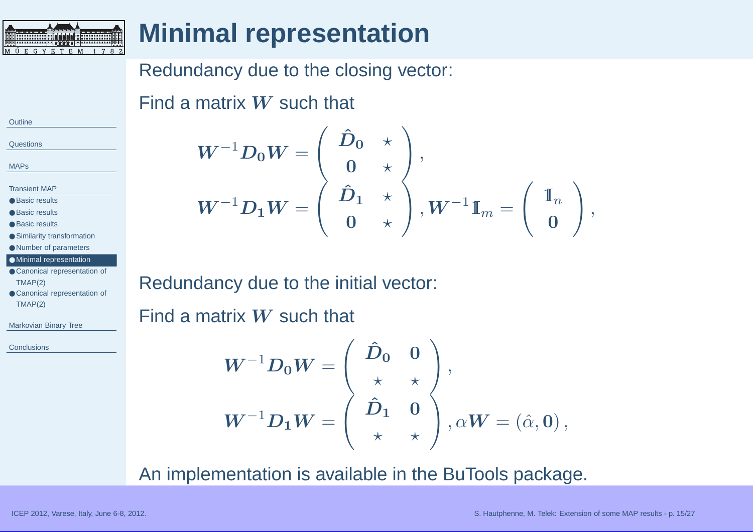<span id="page-14-0"></span>

# **Minimal representation**

## Redundancy due to the closing vector:

Find a matrix  $\boldsymbol{W}$  such that

| Outline |  |
|---------|--|
|         |  |
| ~       |  |

**[Questions](#page-2-0)** 

[MAPs](#page-3-0)

[Transient](#page-9-0) MAP

- Basic [results](#page-9-0)
- Basic [results](#page-10-0)
- Basic [results](#page-11-0)
- Similarity [transformation](#page-12-0)
- Number of [parameters](#page-13-0)
- Minimal representation
- Canonical [representation](#page-15-0) of TMAP(2)
- Canonical [representation](#page-16-0) of TMAP(2)

[Markovian](#page-17-0) Binary Tree

**[Conclusions](#page-26-0)** 

$$
W^{-1}D_0W = \left(\begin{array}{cc} \hat{D}_0 & \star \\ 0 & \star \\ \hat{D}_1 & \star \\ 0 & \star \end{array}\right),\ W^{-1}\mathbb{I}_m = \left(\begin{array}{c} \mathbb{I}_n \\ 0 \end{array}\right),
$$

Redundancy due to the initial vector:

Find a matrix  $\boldsymbol{W}$  such that

$$
W^{-1}D_0W = \left(\begin{array}{cc} \hat{D}_0 & 0 \\ \star & \star \\ \hat{D}_1 & 0 \\ \star & \star \end{array}\right), \alpha W = \left(\begin{array}{c} \hat{\alpha}, 0 \\ 0 \\ \star & \star \end{array}\right),
$$

An implementation is available in the BuTools package.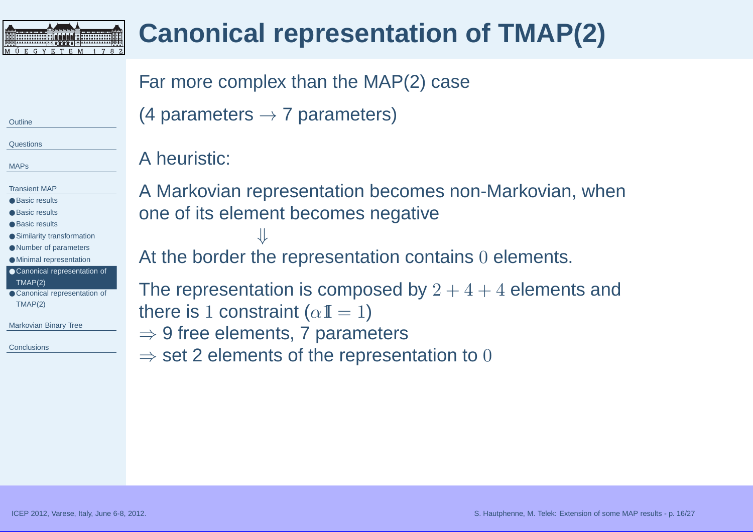<span id="page-15-0"></span>

# **Canonical representation of TMAP(2)**

## Far more complex than the MAP(2) case

(4 parameters  $\rightarrow$  7 parameters)

A heuristic:

**[Questions](#page-2-0)** 

**[Outline](#page-1-0)** 

[MAPs](#page-3-0)

[Transient](#page-9-0) MAP

- Basic [results](#page-9-0)
- Basic [results](#page-10-0)
- Basic [results](#page-11-0)
- Similarity [transformation](#page-12-0)
- Number of [parameters](#page-13-0)
- Minimal [representation](#page-14-0)
- Canonical representation of TMAP(2)
- Canonical [representation](#page-16-0) of TMAP(2)

[Markovian](#page-17-0) Binary Tree

**[Conclusions](#page-26-0)** 

A Markovian representation becomes non-Markovian, whenone of its element becomes negative⇓

At the border the representation contains  $0$  elements.

The representation is composed by  $2+4+4$  elements and there is 1 constraint ( $\alpha\mathbb{I}=1$ )

 $⇒$  9 free elements, 7 parameters<br> $⇒$  set 2 elements of the represer

 $\Rightarrow$  set 2 elements of the representation to  $0$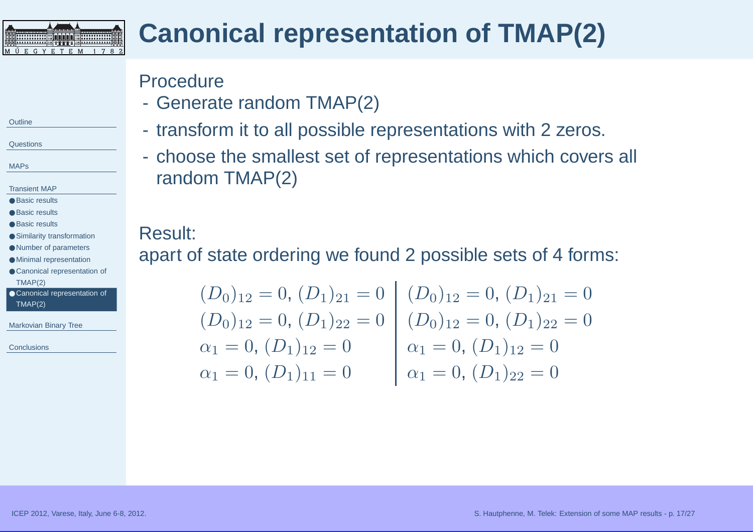<span id="page-16-0"></span>

# **Canonical representation of TMAP(2)**

### Procedure

- Ganars Generate random TMAP(2)
- $\mathcal{L}_{\mathcal{A}}$ transform it to all possible representations with <sup>2</sup> zeros.
- $\mathcal{L}_{\mathcal{A}}$  choose the smallest set of representations which covers all random TMAP(2)

#### Result:

apart of state ordering we found <sup>2</sup> possible sets of <sup>4</sup> forms:

$$
(D_0)_{12} = 0, (D_1)_{21} = 0 \t (D_0)_{12} = 0, (D_1)_{21} = 0
$$
  
\n
$$
(\alpha_1 = 0, (D_1)_{12} = 0 \t \alpha_1 = 0, (D_1)_{12} = 0
$$
  
\n
$$
\alpha_1 = 0, (D_1)_{11} = 0 \t \alpha_1 = 0, (D_1)_{12} = 0
$$
  
\n
$$
\alpha_1 = 0, (D_1)_{11} = 0 \t \alpha_1 = 0, (D_1)_{22} = 0
$$

#### **[Outline](#page-1-0)**

**[Questions](#page-2-0)** 

[MAPs](#page-3-0)

#### [Transient](#page-9-0) MAP

● Basic [results](#page-9-0)

● Basic [results](#page-10-0)

● Basic [results](#page-11-0)

● Similarity [transformation](#page-12-0)

● Number of [parameters](#page-13-0)

● Minimal [representation](#page-14-0)

● Canonical [representation](#page-15-0) of TMAP(2)

● Canonical representation of TMAP(2)

[Markovian](#page-17-0) Binary Tree

**[Conclusions](#page-26-0)**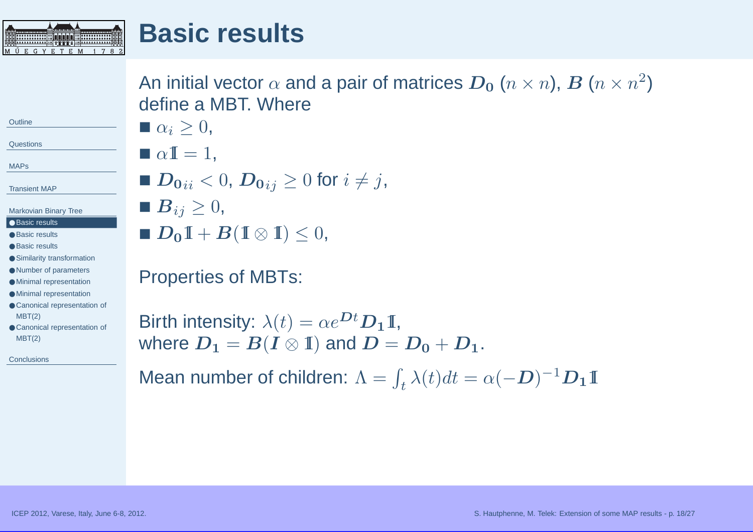

An initial vector  $\alpha$  and a pair of matrices  $\bm{D_0}$   $(n\times n)$ ,  $\bm{B}$   $(n\times n^2)$ define <sup>a</sup> MBT. Where

**[Outline](#page-1-0)** 

<span id="page-17-0"></span>MÜE

**[Questions](#page-2-0)** 

[MAPs](#page-3-0)

[Transient](#page-9-0) MAP

Markovian Binary Tree

**GYETEM** 

- Basic results
- Basic [results](#page-18-0)
- Basic [results](#page-19-0)
- Similarity [transformation](#page-20-0)
- Number of [parameters](#page-21-0)
- Minimal [representation](#page-22-0)
- Minimal [representation](#page-23-0)
- Canonical [representation](#page-24-0) of MBT(2)
- Canonical [representation](#page-25-0) of MBT(2)

**[Conclusions](#page-26-0)** 

 $\blacksquare \alpha \mathbb{I} = 1$ , ■  $\boldsymbol{D_0}_{ii} < 0,$   $\boldsymbol{D_0}_{ij} \geq 0$  for  $i \neq j$ ,

 $\blacksquare$   $\boldsymbol{B}_{ij} \geq 0,$ 

 $\blacksquare \; \alpha_i \geq 0,$ 

■  $D_0I + B(I \otimes I) \leq 0$ ,

## Properties of MBTs:

Birth intensity:  $\lambda(t) = \alpha e^{\textbf{\textit{D}}t} \textbf{\textit{D}}_1 \mathbbm{1},$ where  $\textbf{\textit{D}}$ where  $D_1 = B(I \otimes \mathbb{I})$  and  $D = D_0 + D_1$ .

Mean number of children:  $\Lambda = \int_t \lambda(t)dt = \alpha(-D)^{-1}D_1\mathbbm{1}$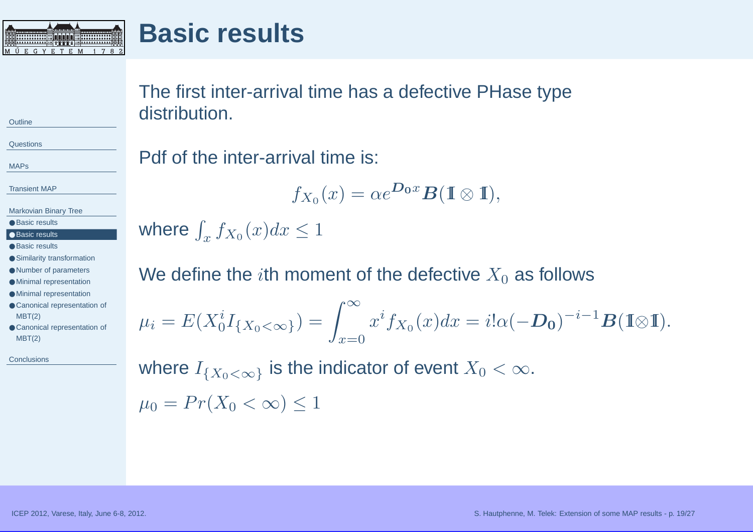<span id="page-18-0"></span>

## **Basic results**

The first inter-arrival time has <sup>a</sup> defective PHase typedistribution.

**[Questions](#page-2-0)** 

[MAPs](#page-3-0)

**[Outline](#page-1-0)** 

[Transient](#page-9-0) MAP

[Markovian](#page-17-0) Binary Tree

● Basic [results](#page-17-0) ● Basic results

● Basic [results](#page-19-0)

● Similarity [transformation](#page-20-0)

● Number of [parameters](#page-21-0)

● Minimal [representation](#page-22-0) ● Minimal [representation](#page-23-0)

● Canonical [representation](#page-24-0) of MBT(2)

● Canonical [representation](#page-25-0) of MBT(2)

**[Conclusions](#page-26-0)** 

## Pdf of the inter-arrival time is:

$$
f_{X_0}(x) = \alpha e^{\mathbf{D_0}x} \mathbf{B}(\mathbb{I} \otimes \mathbb{I}),
$$

where  $\int_x f_{X_0} (x) dx \leq 1$ 

We define the  $i$ th moment of the defective  $X_{\mathrm{0}}$  as follows

 $\mu_i =$  $E(X_0^iI_{\{X_0<\infty\}})=\int_{x=0}^{\infty}x^if_{X_0}(x)dx=i!\alpha(-\mathbf{D_0})^{-i-1}\mathbf{B}(\mathbb{I}\otimes\mathbb{I}).$ 

where  $I_{\{X_0<\infty\}}$  is the indicator of event  $X_0<\infty.$  $\mu_0 = Pr(X_0 < \infty) \leq 1$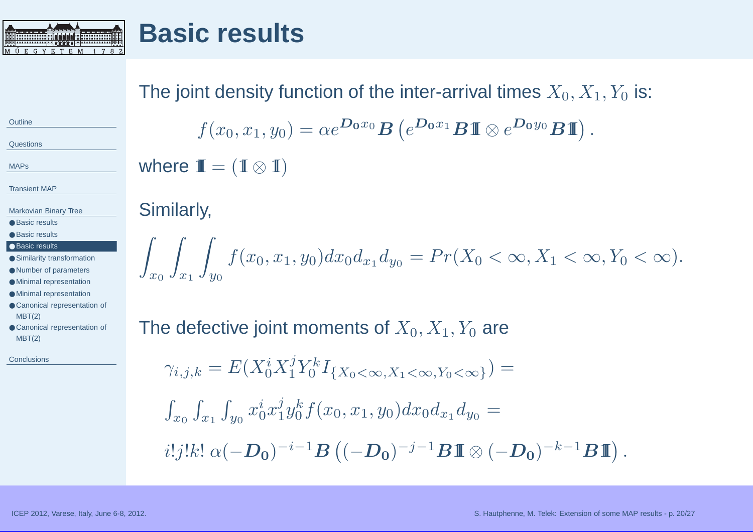<span id="page-19-0"></span>

## **Basic results**

## The joint density function of the inter-arrival times  $X_{0}, X_{1}, Y_{0}$  is:

**[Questions](#page-2-0)** 

[MAPs](#page-3-0)

**[Outline](#page-1-0)** 

[Transient](#page-9-0) MAP

- [Markovian](#page-17-0) Binary Tree
- Basic [results](#page-17-0)
- Basic [results](#page-18-0)

#### ● Basic results

- Similarity [transformation](#page-20-0)
- Number of [parameters](#page-21-0)
- Minimal [representation](#page-22-0)
- Minimal [representation](#page-23-0)
- Canonical [representation](#page-24-0) of MBT(2)
- Canonical [representation](#page-25-0) of MBT(2)

**[Conclusions](#page-26-0)** 

# $f(x_0, x_1, y_0) = \alpha e^{\mathbf{D_0} x_0} \mathbf{B}\left(e^{\mathbf{D_0} x_1} \mathbf{B} \mathbb{I}\!\!\!I \otimes e^{\mathbf{D_0} y_0} \mathbf{B} \mathbb{I}\!\!\!I \right).$

where  $\mathbf{I\!I} = (\mathbf{I} \otimes \mathbf{I})$ 

## Similarly,

 $\int_{x_0} \int_{x_1} \int_{y_0} f(x_0, x_1, y_0) dx_0 d_{x_1} d_{y_0} = Pr(X_0 < \infty, X_1 < \infty, Y_0 < \infty).$ 

## The defective joint moments of  $X_0, X_1, Y_0$  are

$$
\gamma_{i,j,k} = E(X_0^i X_1^j Y_0^k I_{\{X_0 < \infty, X_1 < \infty, Y_0 < \infty\}}) =
$$
  

$$
\int_{x_0} \int_{x_1} \int_{y_0} x_0^i x_1^j y_0^k f(x_0, x_1, y_0) dx_0 d_{x_1} d_{y_0} =
$$
  

$$
i!j!k! \alpha (-\mathbf{D_0})^{-i-1} \mathbf{B} ((-\mathbf{D_0})^{-j-1} \mathbf{B} \mathbb{I} \otimes (-\mathbf{D_0})^{-k-1} \mathbf{B} \mathbb{I}).
$$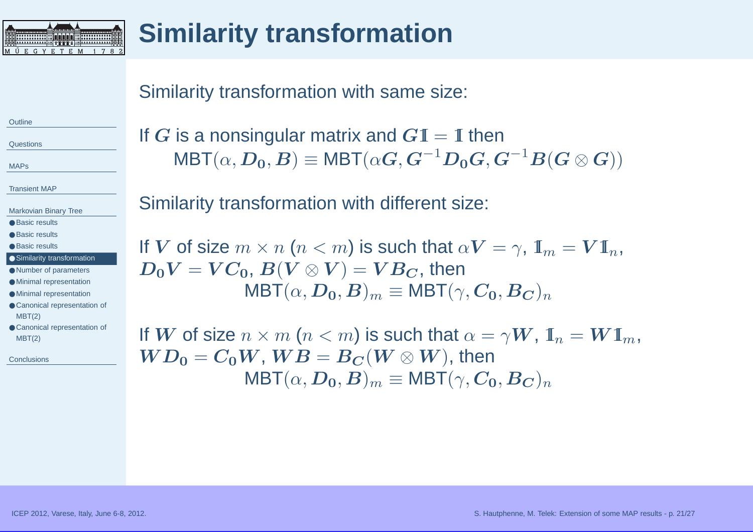<span id="page-20-0"></span>

# **Similarity transformation**

#### Similarity transformation with same size:

**[Outline](#page-1-0)** 

**[Questions](#page-2-0)** 

[MAPs](#page-3-0)

[Transient](#page-9-0) MAP

[Markovian](#page-17-0) Binary Tree

● Basic [results](#page-17-0)

● Basic [results](#page-18-0)

● Basic [results](#page-19-0)

● Similarity transformation

● Number of [parameters](#page-21-0) ● Minimal [representation](#page-22-0)

● Minimal [representation](#page-23-0)

● Canonical [representation](#page-24-0) of MBT(2)

● Canonical [representation](#page-25-0) of MBT(2)

**[Conclusions](#page-26-0)** 

If  $G$  is a nonsingular matrix and  $G\mathbb{I} = \mathbb{I}$  then<br> $H\mathbf{P}^T(e, D, D) = M\mathbf{P}^T(e, G, G^{-1}D, G, G)$  ${\sf MBT}(\alpha,{\bm D}_{\bm 0},{\bm B})\equiv$  $\equiv \mathsf{MBT}(\alpha\bm{G}, \bm{G}^{-1}\bm{D_0}\bm{G}, \bm{G}^{-1}\bm{B}(\bm{G}\otimes \bm{G}))$ 

Similarity transformation with different size:

If  $\boldsymbol{V}$  of size  $m \times n$   $(n < m)$  is such that  $\alpha \boldsymbol{V} = \gamma$ ,  $\boldsymbol{\mathbb{I}}_m = \boldsymbol{V} \boldsymbol{\mathbb{I}}_n$ ,  $\boldsymbol{D}_c \boldsymbol{V} = \boldsymbol{V} \boldsymbol{C}_c$  ,  $\boldsymbol{R} (\boldsymbol{V} \otimes \boldsymbol{V}) = \boldsymbol{V} \boldsymbol{B}_c$  , then  $D_0V = VC_0, B(V\otimes V) = VB_C,$  then  $\mathsf{MBT}(\alpha,\bm{D_0},\bm{B})_m \equiv \mathsf{MBT}(\gamma,\bm{C_0},\bm{B_C})_n$ 

If  $\boldsymbol{W}$  of size  $n\times m$   $(n< m)$  is such that  $\alpha = \gamma \boldsymbol{W}$ ,  $\boldsymbol{\mathbb{I}}_n = \boldsymbol{W} \boldsymbol{\mathbb{I}}_m$ ,  $\boldsymbol{W}\boldsymbol{D}_\mathbf{o} = \boldsymbol{C}_\mathbf{o} \boldsymbol{W}$  ,  $\boldsymbol{W}\boldsymbol{B} = \boldsymbol{B}_{\boldsymbol{C}}(\boldsymbol{W} \otimes \boldsymbol{W})$  , then  $\boldsymbol{W}\boldsymbol{D_0} = \boldsymbol{C_0}\boldsymbol{W},\,\boldsymbol{W}\boldsymbol{B} = \boldsymbol{B_C}(\boldsymbol{W}\otimes\boldsymbol{W}),\,\text{then}\ \boldsymbol{\omega}=\boldsymbol{M}\boldsymbol{B}\boldsymbol{\Gamma}(\gamma,\boldsymbol{C_0})\boldsymbol{W}$  $\mathsf{MBT}(\alpha,\bm{D_0},\bm{B})_m \equiv \mathsf{MBT}(\gamma,\bm{C_0},\bm{B_C})_n$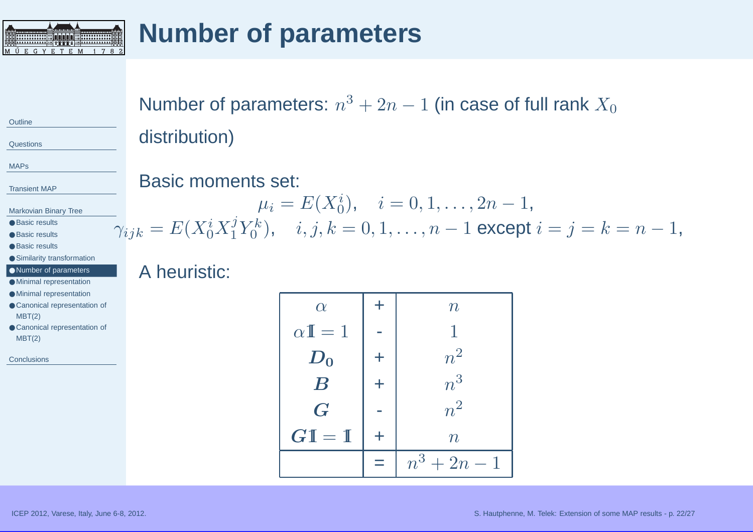<span id="page-21-0"></span>

# **Number of parameters**

**[Outline](#page-1-0)** 

**[Questions](#page-2-0)** 

[MAPs](#page-3-0)

[Transient](#page-9-0) MAP

[Markovian](#page-17-0) Binary Tree

● Basic [results](#page-17-0)

● Basic [results](#page-18-0)

● Basic [results](#page-19-0)

● Similarity [transformation](#page-20-0)

● Number of parameters

● Minimal [representation](#page-22-0)

● Minimal [representation](#page-23-0)

● Canonical [representation](#page-24-0) of MBT(2)

● Canonical [representation](#page-25-0) of MBT(2)

**[Conclusions](#page-26-0)** 

Number of parameters:  $n^3 + 2n - 1$  (in case of full rank  $X_0$ distribution)

#### Basic moments set:

 $\mu_i = E(X_0^i), \quad i=0,1,\ldots,2n-1,$  $\gamma_{ijk} = E(X_0^i X_1^j Y_0^k), \quad i, j, k = 0, 1, \ldots, n-1$  except  $i = j = k = n-1$ ,

#### A heuristic:

| $\alpha$                | $\pm$      | $\, n \,$      |
|-------------------------|------------|----------------|
| $\alpha \mathbb{I} = 1$ |            |                |
| $D_0$                   | $\pm$      | $n^2$          |
| $\boldsymbol{B}$        | $\ddagger$ | $n^3$          |
| $\boldsymbol{G}$        |            | $n^2$          |
| $GI = I$                | $\pm$      | $\, n \,$      |
|                         |            | $n^3 + 2n - 1$ |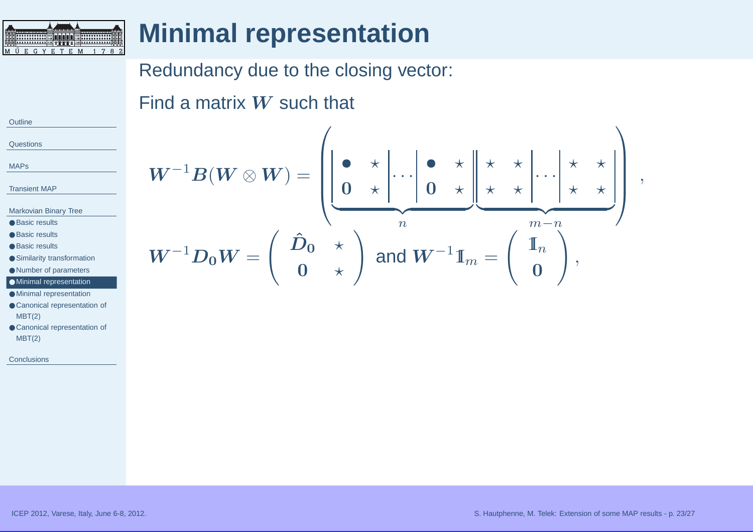<span id="page-22-0"></span>

## **Minimal representation**

## Redundancy due to the closing vector:

Find a matrix  $\boldsymbol{W}$  such that

**[Outline](#page-1-0) [Questions](#page-2-0)** 

[MAPs](#page-3-0)

[Transient](#page-9-0) MAP

[Markovian](#page-17-0) Binary Tree

- Basic [results](#page-17-0)
- Basic [results](#page-18-0)
- Basic [results](#page-19-0)
- Similarity [transformation](#page-20-0)
- Number of [parameters](#page-21-0)

#### ● Minimal representation

● Minimal [representation](#page-23-0)

- Canonical [representation](#page-24-0) of MBT(2)
- Canonical [representation](#page-25-0) of MBT(2)

**[Conclusions](#page-26-0)** 

$$
W^{-1}B(W \otimes W) = \left( \underbrace{\begin{bmatrix} \bullet & \star \\ 0 & \star \end{bmatrix} \cdots \begin{bmatrix} \bullet & \star \\ 0 & \star \end{bmatrix} \star \begin{bmatrix} \star & \star \\ \star & \star \end{bmatrix} \cdots \begin{bmatrix} \star & \star \\ \star & \star \end{bmatrix}}_{m-n} \right),
$$

$$
W^{-1}D_0W = \left( \begin{array}{cc} \hat{D}_0 & \star \\ 0 & \star \end{array} \right) \text{ and } W^{-1}\mathbb{I}_m = \left( \begin{array}{c} \mathbb{I}_n \\ 0 \end{array} \right),
$$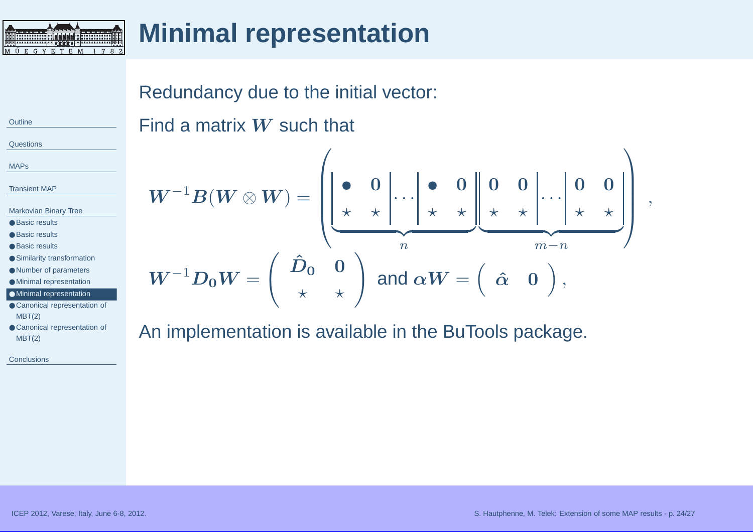<span id="page-23-0"></span>

## **Minimal representation**

Redundancy due to the initial vector:

**[Outline](#page-1-0)** 

**[Questions](#page-2-0)** 

[MAPs](#page-3-0)

[Transient](#page-9-0) MAP

[Markovian](#page-17-0) Binary Tree

● Basic [results](#page-17-0)

● Basic [results](#page-18-0)

- Basic [results](#page-19-0)
- Similarity [transformation](#page-20-0)
- Number of [parameters](#page-21-0)
- Minimal [representation](#page-22-0)

● Minimal representation

- Canonical [representation](#page-24-0) of MBT(2)
- Canonical [representation](#page-25-0) of MBT(2)

**[Conclusions](#page-26-0)** 

Find <sup>a</sup> matrix <sup>W</sup> such that <sup>W</sup>−<sup>1</sup>B(<sup>W</sup> <sup>⊗</sup> <sup>W</sup>) <sup>=</sup> • <sup>0</sup> <sup>⋆</sup> <sup>⋆</sup> · · · • <sup>0</sup> <sup>⋆</sup> <sup>⋆</sup> <sup>|</sup> {z } n <sup>0</sup> <sup>0</sup> <sup>⋆</sup> <sup>⋆</sup> · · · <sup>0</sup> <sup>0</sup> <sup>⋆</sup> <sup>⋆</sup> <sup>|</sup> {z } <sup>m</sup>−<sup>n</sup> , <sup>W</sup>−<sup>1</sup>D0<sup>W</sup><sup>=</sup> <sup>D</sup><sup>ˆ</sup><sup>0</sup> <sup>0</sup> <sup>⋆</sup> <sup>⋆</sup> ! and αW <sup>=</sup> <sup>α</sup><sup>ˆ</sup> <sup>0</sup> ,

An implementation is available in the BuTools package.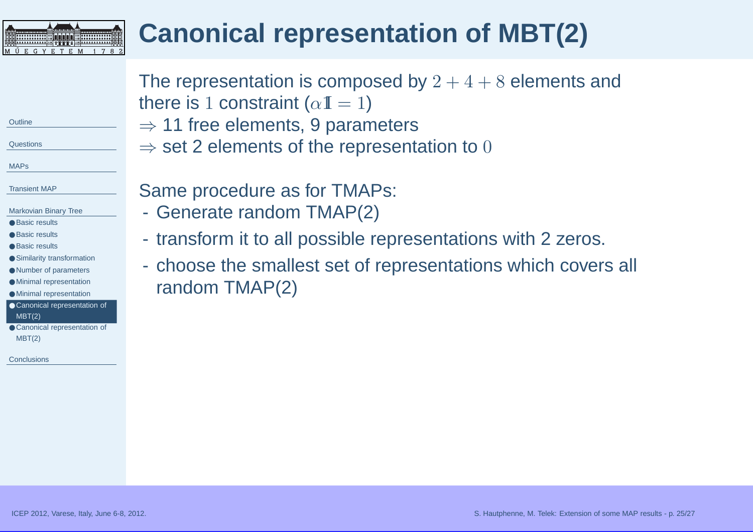#### <span id="page-24-0"></span>**Canonical representation of MBT(2)HIHHHHH 00000 HIHHHHHH 100 M Ü E G Y E T E M 1 7 8 2**

|                                                                                                                                                    | The representation is composed by $2+4+8$ elements and<br>there is 1 constraint ( $\alpha I = 1$ ) |
|----------------------------------------------------------------------------------------------------------------------------------------------------|----------------------------------------------------------------------------------------------------|
| Outline                                                                                                                                            | $\Rightarrow$ 11 free elements, 9 parameters                                                       |
| Questions                                                                                                                                          | $\Rightarrow$ set 2 elements of the representation to 0                                            |
| <b>MAPs</b>                                                                                                                                        |                                                                                                    |
| <b>Transient MAP</b><br>Markovian Binary Tree<br><b>Basic results</b>                                                                              | Same procedure as for TMAPs:<br>- Generate random TMAP(2)                                          |
| <b>Basic results</b><br><b>Basic results</b>                                                                                                       | - transform it to all possible representations with 2 zeros.                                       |
| Similarity transformation<br>Number of parameters<br><b>Minimal representation</b><br><b>Minimal representation</b><br>Canonical representation of | - choose the smallest set of representations which covers all<br>random TMAP(2)                    |
|                                                                                                                                                    |                                                                                                    |

**[Outline](#page-1-0)** 

[MAPs](#page-3-0)

**[Questions](#page-2-0)** 

[Transient](#page-9-0) MAP

MBT(2)

MBT(2)

**[Conclusions](#page-26-0)** 

● Canonical [representation](#page-25-0) of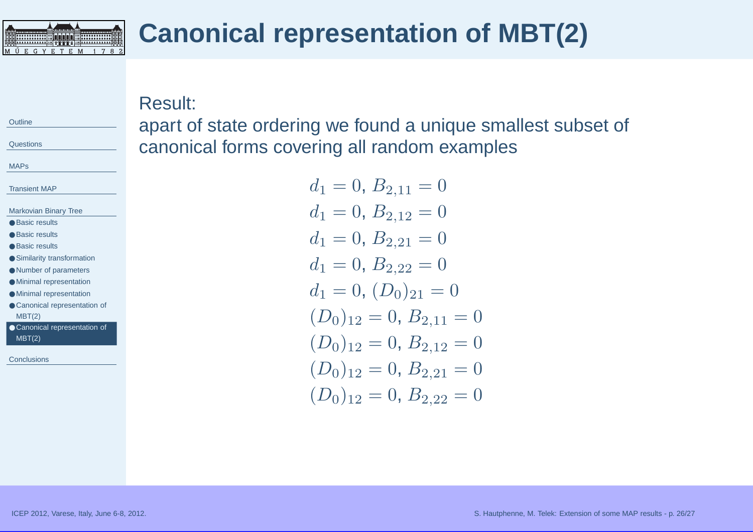<span id="page-25-0"></span>

## **Canonical representation of MBT(2)**

Result:

apart of state ordering we found <sup>a</sup> unique smallest subset of canonical forms covering all random examples

> $d_1 = 0, B_{2,11} = 0$  $d_1 = 0, B_{2,12} = 0$  $d_1 = 0, B_{2,21} = 0$  $d_1 = 0, B_{2,22} = 0$  $d_1 = 0, (D_0)_{21} = 0$  $(D_0)_{12} = 0, B_{2,11} = 0$  $(D_0)_{12} = 0, B_{2,12} = 0$  $(D_0)_{12} = 0, B_{2,21} = 0$  $(D_0)_{12} = 0, B_{2,22} = 0$

[MAPs](#page-3-0)

**[Questions](#page-2-0)** 

**[Outline](#page-1-0)** 

[Transient](#page-9-0) MAP

- [Markovian](#page-17-0) Binary Tree
- Basic [results](#page-17-0)
- Basic [results](#page-18-0)
- Basic [results](#page-19-0)
- Similarity [transformation](#page-20-0)
- Number of [parameters](#page-21-0)
- Minimal [representation](#page-22-0)
- Minimal [representation](#page-23-0)
- Canonical [representation](#page-24-0) of MBT(2)
- Canonical representation of MBT(2)

**[Conclusions](#page-26-0)**